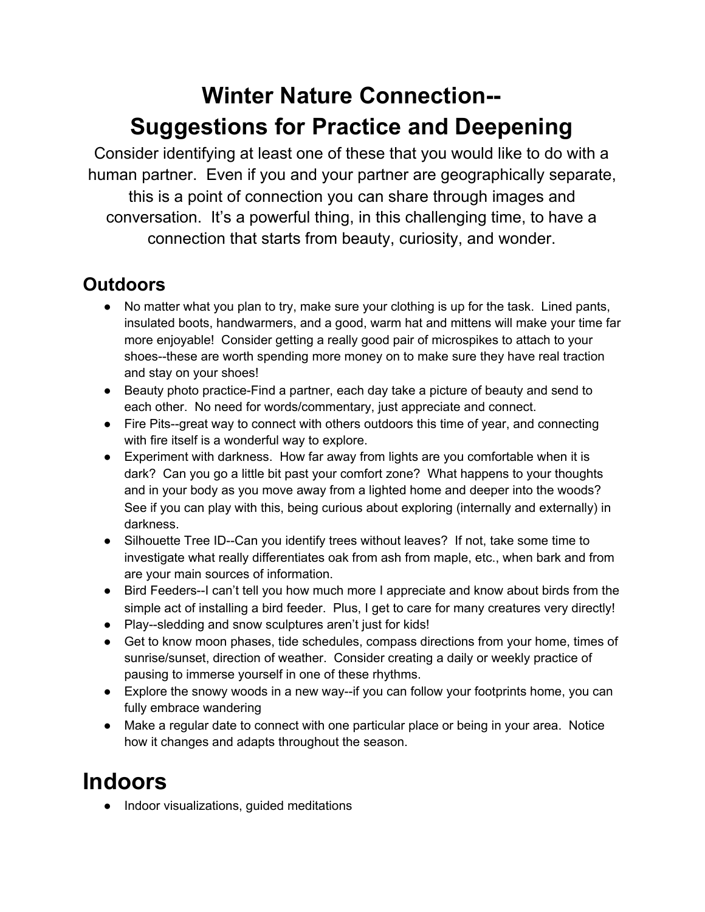## **Winter Nature Connection-- Suggestions for Practice and Deepening**

Consider identifying at least one of these that you would like to do with a human partner. Even if you and your partner are geographically separate, this is a point of connection you can share through images and conversation. It's a powerful thing, in this challenging time, to have a connection that starts from beauty, curiosity, and wonder.

#### **Outdoors**

- No matter what you plan to try, make sure your clothing is up for the task. Lined pants, insulated boots, handwarmers, and a good, warm hat and mittens will make your time far more enjoyable! Consider getting a really good pair of microspikes to attach to your shoes--these are worth spending more money on to make sure they have real traction and stay on your shoes!
- Beauty photo practice-Find a partner, each day take a picture of beauty and send to each other. No need for words/commentary, just appreciate and connect.
- Fire Pits--great way to connect with others outdoors this time of year, and connecting with fire itself is a wonderful way to explore.
- Experiment with darkness. How far away from lights are you comfortable when it is dark? Can you go a little bit past your comfort zone? What happens to your thoughts and in your body as you move away from a lighted home and deeper into the woods? See if you can play with this, being curious about exploring (internally and externally) in darkness.
- Silhouette Tree ID--Can you identify trees without leaves? If not, take some time to investigate what really differentiates oak from ash from maple, etc., when bark and from are your main sources of information.
- Bird Feeders--I can't tell you how much more I appreciate and know about birds from the simple act of installing a bird feeder. Plus, I get to care for many creatures very directly!
- Play--sledding and snow sculptures aren't just for kids!
- Get to know moon phases, tide schedules, compass directions from your home, times of sunrise/sunset, direction of weather. Consider creating a daily or weekly practice of pausing to immerse yourself in one of these rhythms.
- Explore the snowy woods in a new way--if you can follow your footprints home, you can fully embrace wandering
- Make a regular date to connect with one particular place or being in your area. Notice how it changes and adapts throughout the season.

## **Indoors**

● Indoor visualizations, guided meditations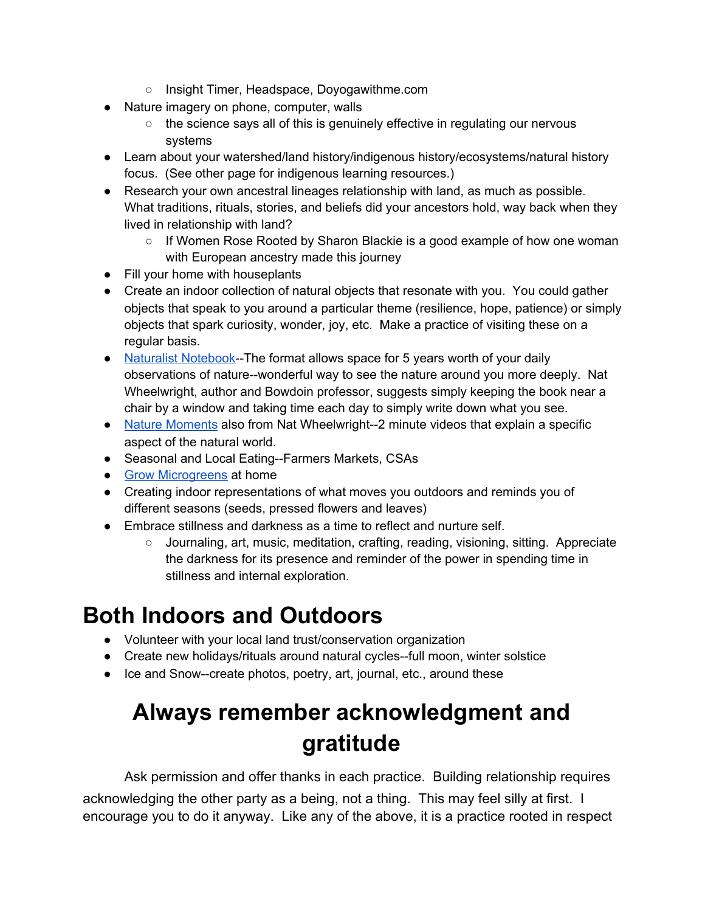- Insight Timer, Headspace, Doyogawithme.com
- Nature imagery on phone, computer, walls
	- the science says all of this is genuinely effective in regulating our nervous systems
- Learn about your watershed/land history/indigenous history/ecosystems/natural history focus. (See other page for indigenous learning resources.)
- Research your own ancestral lineages relationship with land, as much as possible. What traditions, rituals, stories, and beliefs did your ancestors hold, way back when they lived in relationship with land?
	- If Women Rose Rooted by Sharon Blackie is a good example of how one woman with European ancestry made this journey
- Fill your home with houseplants
- Create an indoor collection of natural objects that resonate with you. You could gather objects that speak to you around a particular theme (resilience, hope, patience) or simply objects that spark curiosity, wonder, joy, etc. Make a practice of visiting these on a regular basis.
- Naturalist [Notebook-](https://www.bowdoin.edu/news/2017/10/the-naturalists-notebook-making-everyday-connections-to-nature-through-journal-keeping.html)-The format allows space for 5 years worth of your daily observations of nature--wonderful way to see the nature around you more deeply. Nat Wheelwright, author and Bowdoin professor, suggests simply keeping the book near a chair by a window and taking time each day to simply write down what you see.
- Nature [Moments](https://research.bowdoin.edu/nature-moments/) also from Nat Wheelwright--2 minute videos that explain a specific aspect of the natural world.
- Seasonal and Local Eating--Farmers Markets, CSAs
- Grow [Microgreens](https://extension.psu.edu/a-step-by-step-guide-for-growing-microgreens-at-home) at home
- Creating indoor representations of what moves you outdoors and reminds you of different seasons (seeds, pressed flowers and leaves)
- Embrace stillness and darkness as a time to reflect and nurture self.
	- Journaling, art, music, meditation, crafting, reading, visioning, sitting. Appreciate the darkness for its presence and reminder of the power in spending time in stillness and internal exploration.

#### **Both Indoors and Outdoors**

- Volunteer with your local land trust/conservation organization
- Create new holidays/rituals around natural cycles--full moon, winter solstice
- Ice and Snow--create photos, poetry, art, journal, etc., around these

# **Always remember acknowledgment and gratitude**

Ask permission and offer thanks in each practice. Building relationship requires acknowledging the other party as a being, not a thing. This may feel silly at first. I encourage you to do it anyway. Like any of the above, it is a practice rooted in respect